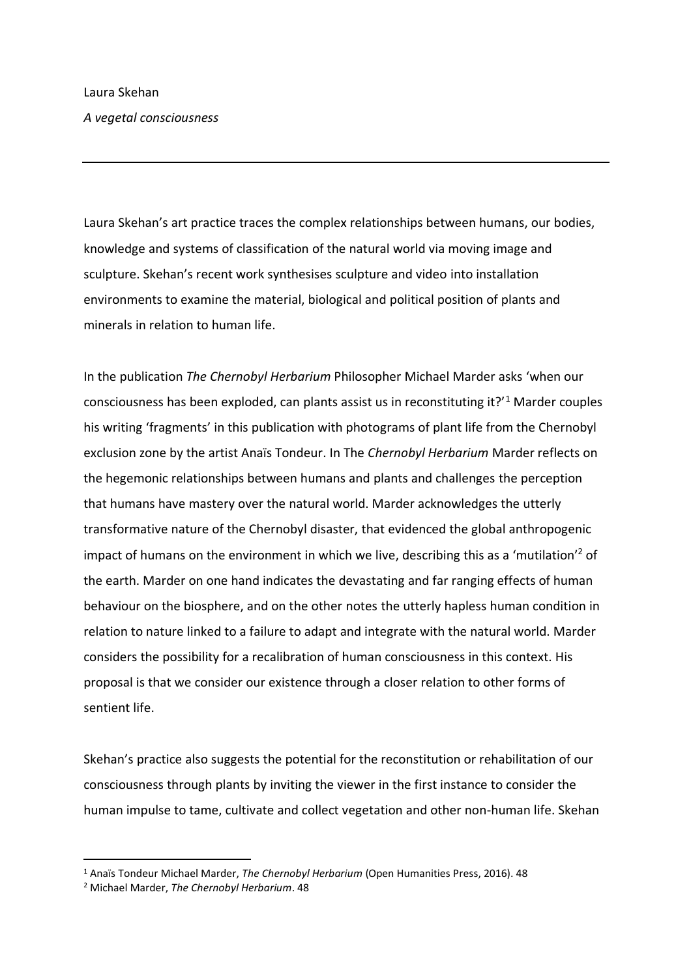Laura Skehan's art practice traces the complex relationships between humans, our bodies, knowledge and systems of classification of the natural world via moving image and sculpture. Skehan's recent work synthesises sculpture and video into installation environments to examine the material, biological and political position of plants and minerals in relation to human life.

In the publication *The Chernobyl Herbarium* Philosopher Michael Marder asks 'when our consciousness has been exploded, can plants assist us in reconstituting it?'<sup>1</sup> Marder couples his writing 'fragments' in this publication with photograms of plant life from the Chernobyl exclusion zone by the artist Anaïs Tondeur. In The *Chernobyl Herbarium* Marder reflects on the hegemonic relationships between humans and plants and challenges the perception that humans have mastery over the natural world. Marder acknowledges the utterly transformative nature of the Chernobyl disaster, that evidenced the global anthropogenic impact of humans on the environment in which we live, describing this as a 'mutilation' <sup>2</sup> of the earth. Marder on one hand indicates the devastating and far ranging effects of human behaviour on the biosphere, and on the other notes the utterly hapless human condition in relation to nature linked to a failure to adapt and integrate with the natural world. Marder considers the possibility for a recalibration of human consciousness in this context. His proposal is that we consider our existence through a closer relation to other forms of sentient life.

Skehan's practice also suggests the potential for the reconstitution or rehabilitation of our consciousness through plants by inviting the viewer in the first instance to consider the human impulse to tame, cultivate and collect vegetation and other non-human life. Skehan

<sup>1</sup> Anaïs Tondeur Michael Marder, *The Chernobyl Herbarium* (Open Humanities Press, 2016). 48

<sup>2</sup> Michael Marder, *The Chernobyl Herbarium*. 48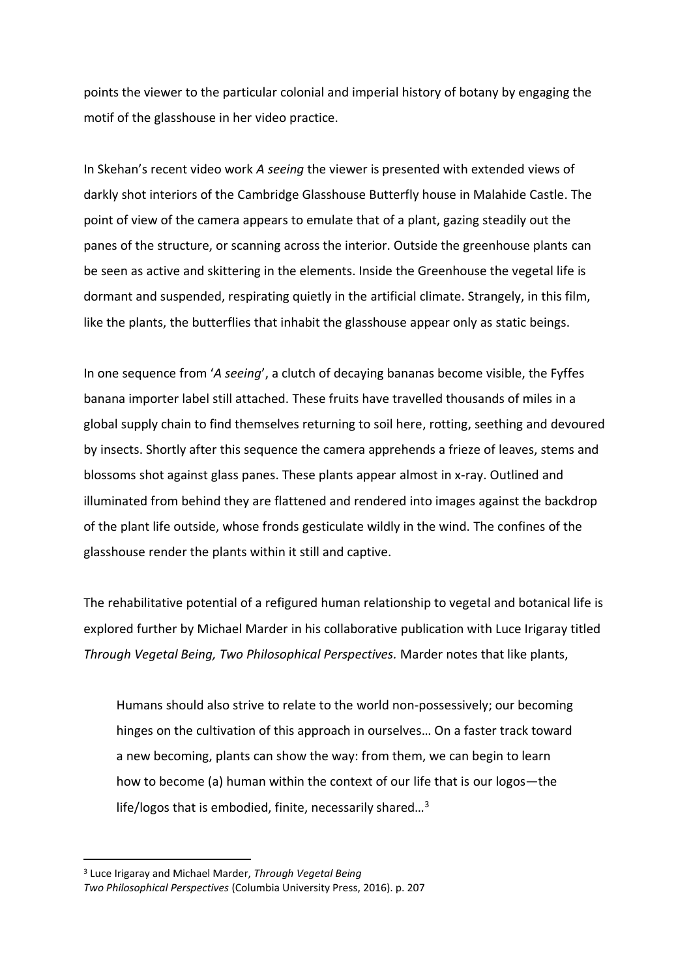points the viewer to the particular colonial and imperial history of botany by engaging the motif of the glasshouse in her video practice.

In Skehan's recent video work *A seeing* the viewer is presented with extended views of darkly shot interiors of the Cambridge Glasshouse Butterfly house in Malahide Castle. The point of view of the camera appears to emulate that of a plant, gazing steadily out the panes of the structure, or scanning across the interior. Outside the greenhouse plants can be seen as active and skittering in the elements. Inside the Greenhouse the vegetal life is dormant and suspended, respirating quietly in the artificial climate. Strangely, in this film, like the plants, the butterflies that inhabit the glasshouse appear only as static beings.

In one sequence from '*A seeing*', a clutch of decaying bananas become visible, the Fyffes banana importer label still attached. These fruits have travelled thousands of miles in a global supply chain to find themselves returning to soil here, rotting, seething and devoured by insects. Shortly after this sequence the camera apprehends a frieze of leaves, stems and blossoms shot against glass panes. These plants appear almost in x-ray. Outlined and illuminated from behind they are flattened and rendered into images against the backdrop of the plant life outside, whose fronds gesticulate wildly in the wind. The confines of the glasshouse render the plants within it still and captive.

The rehabilitative potential of a refigured human relationship to vegetal and botanical life is explored further by Michael Marder in his collaborative publication with Luce Irigaray titled *Through Vegetal Being, Two Philosophical Perspectives.* Marder notes that like plants,

Humans should also strive to relate to the world non-possessively; our becoming hinges on the cultivation of this approach in ourselves… On a faster track toward a new becoming, plants can show the way: from them, we can begin to learn how to become (a) human within the context of our life that is our logos—the life/logos that is embodied, finite, necessarily shared...<sup>3</sup>

<sup>3</sup> Luce Irigaray and Michael Marder, *Through Vegetal Being*

*Two Philosophical Perspectives* (Columbia University Press, 2016). p. 207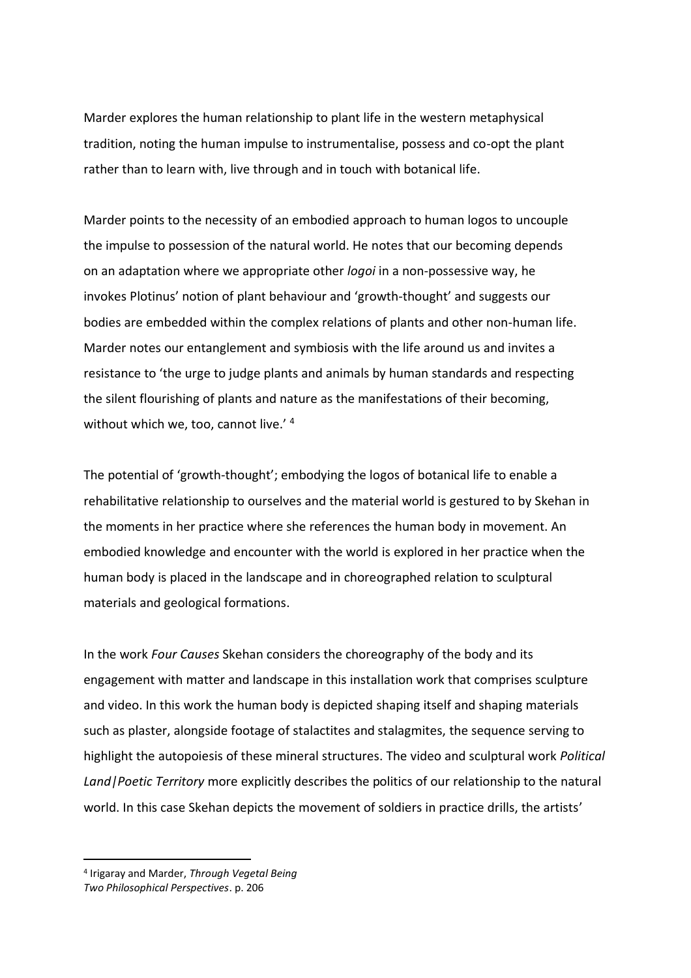Marder explores the human relationship to plant life in the western metaphysical tradition, noting the human impulse to instrumentalise, possess and co-opt the plant rather than to learn with, live through and in touch with botanical life.

Marder points to the necessity of an embodied approach to human logos to uncouple the impulse to possession of the natural world. He notes that our becoming depends on an adaptation where we appropriate other *logoi* in a non-possessive way, he invokes Plotinus' notion of plant behaviour and 'growth-thought' and suggests our bodies are embedded within the complex relations of plants and other non-human life. Marder notes our entanglement and symbiosis with the life around us and invites a resistance to 'the urge to judge plants and animals by human standards and respecting the silent flourishing of plants and nature as the manifestations of their becoming, without which we, too, cannot live.' 4

The potential of 'growth-thought'; embodying the logos of botanical life to enable a rehabilitative relationship to ourselves and the material world is gestured to by Skehan in the moments in her practice where she references the human body in movement. An embodied knowledge and encounter with the world is explored in her practice when the human body is placed in the landscape and in choreographed relation to sculptural materials and geological formations.

In the work *Four Causes* Skehan considers the choreography of the body and its engagement with matter and landscape in this installation work that comprises sculpture and video. In this work the human body is depicted shaping itself and shaping materials such as plaster, alongside footage of stalactites and stalagmites, the sequence serving to highlight the autopoiesis of these mineral structures. The video and sculptural work *Political Land|Poetic Territory* more explicitly describes the politics of our relationship to the natural world. In this case Skehan depicts the movement of soldiers in practice drills, the artists'

<sup>4</sup> Irigaray and Marder, *Through Vegetal Being*

*Two Philosophical Perspectives*. p. 206